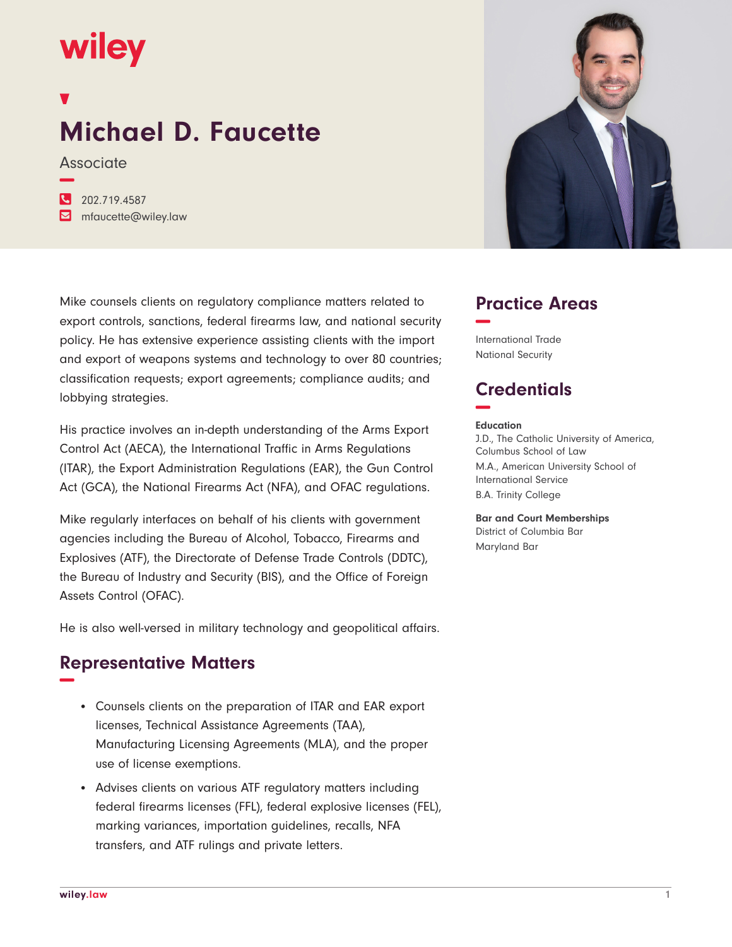# **wiley**

## **Michael D. Faucette**

**Associate −**

**�** 202.719.4587 **�** mfaucette@wiley.law

Mike counsels clients on regulatory compliance matters related to export controls, sanctions, federal firearms law, and national security policy. He has extensive experience assisting clients with the import and export of weapons systems and technology to over 80 countries; classification requests; export agreements; compliance audits; and lobbying strategies.

His practice involves an in-depth understanding of the Arms Export Control Act (AECA), the International Traffic in Arms Regulations (ITAR), the Export Administration Regulations (EAR), the Gun Control Act (GCA), the National Firearms Act (NFA), and OFAC regulations.

Mike regularly interfaces on behalf of his clients with government agencies including the Bureau of Alcohol, Tobacco, Firearms and Explosives (ATF), the Directorate of Defense Trade Controls (DDTC), the Bureau of Industry and Security (BIS), and the Office of Foreign Assets Control (OFAC).

He is also well-versed in military technology and geopolitical affairs.

#### **Representative Matters −**

- Counsels clients on the preparation of ITAR and EAR export licenses, Technical Assistance Agreements (TAA), Manufacturing Licensing Agreements (MLA), and the proper use of license exemptions.
- Advises clients on various ATF regulatory matters including federal firearms licenses (FFL), federal explosive licenses (FEL), marking variances, importation guidelines, recalls, NFA transfers, and ATF rulings and private letters.



#### **Practice Areas −**

International Trade National Security

### **Credentials −**

#### **Education**

J.D., The Catholic University of America, Columbus School of Law M.A., American University School of International Service B.A. Trinity College

**Bar and Court Memberships** District of Columbia Bar Maryland Bar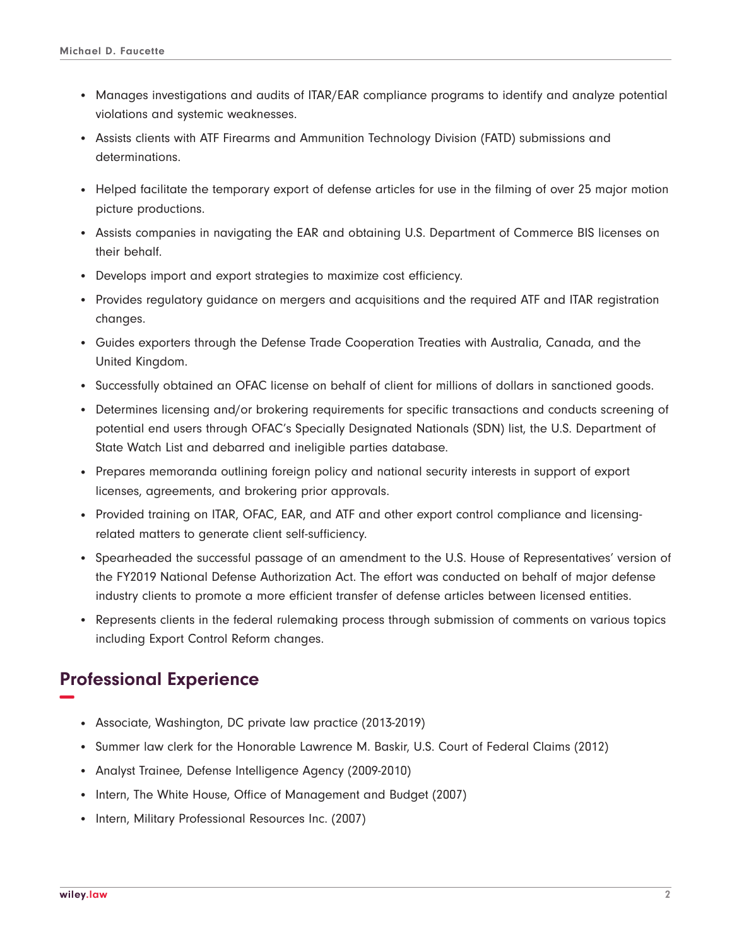- Manages investigations and audits of ITAR/EAR compliance programs to identify and analyze potential violations and systemic weaknesses.
- Assists clients with ATF Firearms and Ammunition Technology Division (FATD) submissions and determinations.
- Helped facilitate the temporary export of defense articles for use in the filming of over 25 major motion picture productions.
- Assists companies in navigating the EAR and obtaining U.S. Department of Commerce BIS licenses on their behalf.
- Develops import and export strategies to maximize cost efficiency.
- Provides regulatory guidance on mergers and acquisitions and the required ATF and ITAR registration changes.
- Guides exporters through the Defense Trade Cooperation Treaties with Australia, Canada, and the United Kingdom.
- Successfully obtained an OFAC license on behalf of client for millions of dollars in sanctioned goods.
- Determines licensing and/or brokering requirements for specific transactions and conducts screening of potential end users through OFAC's Specially Designated Nationals (SDN) list, the U.S. Department of State Watch List and debarred and ineligible parties database.
- Prepares memoranda outlining foreign policy and national security interests in support of export licenses, agreements, and brokering prior approvals.
- Provided training on ITAR, OFAC, EAR, and ATF and other export control compliance and licensingrelated matters to generate client self-sufficiency.
- Spearheaded the successful passage of an amendment to the U.S. House of Representatives' version of the FY2019 National Defense Authorization Act. The effort was conducted on behalf of major defense industry clients to promote a more efficient transfer of defense articles between licensed entities.
- Represents clients in the federal rulemaking process through submission of comments on various topics including Export Control Reform changes.

#### **Professional Experience −**

- Associate, Washington, DC private law practice (2013-2019)
- Summer law clerk for the Honorable Lawrence M. Baskir, U.S. Court of Federal Claims (2012)
- Analyst Trainee, Defense Intelligence Agency (2009-2010)
- Intern, The White House, Office of Management and Budget (2007)
- Intern, Military Professional Resources Inc. (2007)